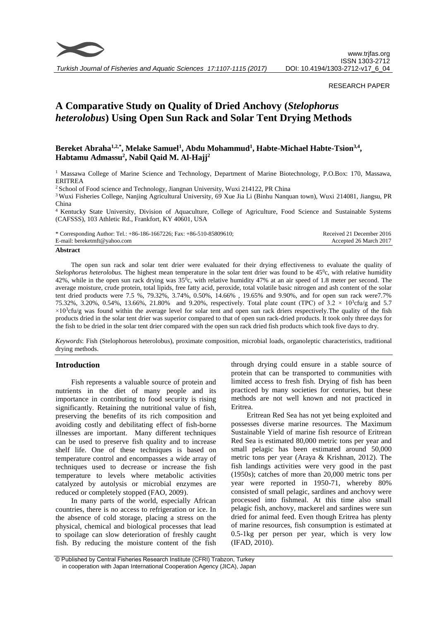

*Turkish Journal of Fisheries and Aquatic Sciences 17:1107-1115 (2017)*

RESEARCH PAPER

# **A Comparative Study on Quality of Dried Anchovy (***Stelophorus heterolobus***) Using Open Sun Rack and Solar Tent Drying Methods**

## **Bereket Abraha1,2,\*, Melake Samuel<sup>1</sup> , Abdu Mohammud<sup>1</sup> , Habte-Michael Habte-Tsion3,4 , Habtamu Admassu<sup>2</sup> , Nabil Qaid M. Al-Hajj<sup>2</sup>**

<sup>1</sup> Massawa College of Marine Science and Technology, Department of Marine Biotechnology, P.O.Box: 170, Massawa, ERITREA

<sup>2</sup> School of Food science and Technology, Jiangnan University, Wuxi 214122, PR China

<sup>3</sup>Wuxi Fisheries College, Nanjing Agricultural University, 69 Xue Jia Li (Binhu Nanquan town), Wuxi 214081, Jiangsu, PR China

<sup>4</sup> Kentucky State University, Division of Aquaculture, College of Agriculture, Food Science and Sustainable Systems (CAFSSS), 103 Athletic Rd., Frankfort, KY 40601, USA

| * Corresponding Author: Tel.: +86-186-1667226; Fax: +86-510-85809610; | Received 21 December 2016 |
|-----------------------------------------------------------------------|---------------------------|
| E-mail: bereketmft@vahoo.com                                          | Accepted 26 March 2017    |
|                                                                       |                           |

#### **Abstract**

The open sun rack and solar tent drier were evaluated for their drying effectiveness to evaluate the quality of Stelophorus heterolobus. The highest mean temperature in the solar tent drier was found to be 45<sup>0</sup>c, with relative humidity  $42\%$ , while in the open sun rack drying was  $35\degree$ c, with relative humidity  $47\%$  at an air speed of 1.8 meter per second. The average moisture, crude protein, total lipids, free fatty acid, peroxide, total volatile basic nitrogen and ash content of the solar tent dried products were 7.5 %, 79.32%, 3.74%, 0.50%, 14.66% , 19.65% and 9.90%, and for open sun rack were7.7% 75.32%, 3.20%, 0.54%, 13.66%, 21.80% and 9.20%, respectively. Total plate count (TPC) of  $3.2 \times 10^3$ cfu/g and 5.7  $\times10^3$ cfu/g was found within the average level for solar tent and open sun rack driers respectively. The quality of the fish products dried in the solar tent drier was superior compared to that of open sun rack-dried products. It took only three days for the fish to be dried in the solar tent drier compared with the open sun rack dried fish products which took five days to dry.

*Keywords*: Fish (Stelophorous heterolobus), proximate composition, microbial loads, organoleptic characteristics, traditional drying methods.

## **Introduction**

Fish represents a valuable source of protein and nutrients in the diet of many people and its importance in contributing to food security is rising significantly. Retaining the nutritional value of fish, preserving the benefits of its rich composition and avoiding costly and debilitating effect of fish-borne illnesses are important. Many different techniques can be used to preserve fish quality and to increase shelf life. One of these techniques is based on temperature control and encompasses a wide array of techniques used to decrease or increase the fish temperature to levels where metabolic activities catalyzed by autolysis or microbial enzymes are reduced or completely stopped (FAO, 2009).

In many parts of the world, especially African countries, there is no access to refrigeration or ice. In the absence of cold storage, placing a stress on the physical, chemical and biological processes that lead to spoilage can slow deterioration of freshly caught fish. By reducing the moisture content of the fish

through drying could ensure in a stable source of protein that can be transported to communities with limited access to fresh fish. Drying of fish has been practiced by many societies for centuries, but these methods are not well known and not practiced in Eritrea.

Eritrean Red Sea has not yet being exploited and possesses diverse marine resources. The Maximum Sustainable Yield of marine fish resource of Eritrean Red Sea is estimated 80,000 metric tons per year and small pelagic has been estimated around 50,000 metric tons per year (Araya & Krishnan, 2012). The fish landings activities were very good in the past (1950s); catches of more than 20,000 metric tons per year were reported in 1950-71, whereby 80% consisted of small pelagic, sardines and anchovy were processed into fishmeal. At this time also small pelagic fish, anchovy, mackerel and sardines were sun dried for animal feed. Even though Eritrea has plenty of marine resources, fish consumption is estimated at 0.5-1kg per person per year, which is very low (IFAD, 2010).

<sup>©</sup> Published by Central Fisheries Research Institute (CFRI) Trabzon, Turkey in cooperation with Japan International Cooperation Agency (JICA), Japan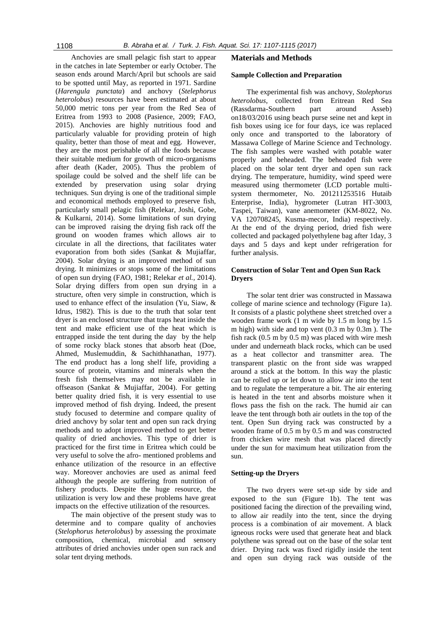Anchovies are small pelagic fish start to appear in the catches in late September or early October. The season ends around March/April but schools are said to be spotted until May, as reported in 1971. Sardine (*Harengula punctata*) and anchovy (*Stelephorus heterolobus*) resources have been estimated at about 50,000 metric tons per year from the Red Sea of Eritrea from 1993 to 2008 (Pasience, 2009; FAO, 2015). Anchovies are highly nutritious food and particularly valuable for providing protein of high quality, better than those of meat and egg. However, they are the most perishable of all the foods because their suitable medium for growth of micro-organisms after death (Kader, 2005). Thus the problem of spoilage could be solved and the shelf life can be extended by preservation using solar drying techniques. Sun drying is one of the traditional simple and economical methods employed to preserve fish, particularly small pelagic fish (Relekar, Joshi, Gobe, & Kulkarni, 2014). Some limitations of sun drying can be improved raising the drying fish rack off the ground on wooden frames which allows air to circulate in all the directions, that facilitates water evaporation from both sides (Sankat & Mujiaffar, 2004). Solar drying is an improved method of sun drying. It minimizes or stops some of the limitations of open sun drying (FAO, 1981; Relekar *et al.,* 2014). Solar drying differs from open sun drying in a structure, often very simple in construction, which is used to enhance effect of the insulation (Yu, Siaw, & Idrus, 1982). This is due to the truth that solar tent dryer is an enclosed structure that traps heat inside the tent and make efficient use of the heat which is entrapped inside the tent during the day by the help of some rocky black stones that absorb heat (Doe, Ahmed, Muslemuddin, & Sachithhanathan, 1977). The end product has a long shelf life, providing a source of protein, vitamins and minerals when the fresh fish themselves may not be available in offseason (Sankat & Mujiaffar, 2004). For getting better quality dried fish, it is very essential to use improved method of fish drying. Indeed, the present study focused to determine and compare quality of dried anchovy by solar tent and open sun rack drying methods and to adopt improved method to get better quality of dried anchovies. This type of drier is practiced for the first time in Eritrea which could be very useful to solve the afro- mentioned problems and enhance utilization of the resource in an effective way. Moreover anchovies are used as animal feed although the people are suffering from nutrition of fishery products. Despite the huge resource, the utilization is very low and these problems have great impacts on the effective utilization of the resources.

The main objective of the present study was to determine and to compare quality of anchovies (*Stelophorus heterolobus*) by assessing the proximate composition, chemical, microbial and sensory attributes of dried anchovies under open sun rack and solar tent drying methods.

## **Materials and Methods**

## **Sample Collection and Preparation**

The experimental fish was anchovy, *Stolephorus heterolobus*, collected from Eritrean Red Sea (Rassdarma-Southern part around Asseb) on18/03/2016 using beach purse seine net and kept in fish boxes using ice for four days, ice was replaced only once and transported to the laboratory of Massawa College of Marine Science and Technology. The fish samples were washed with potable water properly and beheaded. The beheaded fish were placed on the solar tent dryer and open sun rack drying. The temperature, humidity, wind speed were measured using thermometer (LCD portable multisystem thermometer, No. 201211253516 Hutaib Enterprise, India), hygrometer (Lutran HT-3003, Taspei, Taiwan), vane anemometer (KM-8022, No. VA 120708245, Kusma-mecor, India) respectively. At the end of the drying period, dried fish were collected and packaged polyethylene bag after 1day, 3 days and 5 days and kept under refrigeration for further analysis.

## **Construction of Solar Tent and Open Sun Rack Dryers**

The solar tent drier was constructed in Massawa college of marine science and technology (Figure 1a). It consists of a plastic polythene sheet stretched over a wooden frame work (1 m wide by 1.5 m long by 1.5 m high) with side and top vent (0.3 m by 0.3m ). The fish rack (0.5 m by 0.5 m) was placed with wire mesh under and underneath black rocks, which can be used as a heat collector and transmitter area. The transparent plastic on the front side was wrapped around a stick at the bottom. In this way the plastic can be rolled up or let down to allow air into the tent and to regulate the temperature a bit. The air entering is heated in the tent and absorbs moisture when it flows pass the fish on the rack. The humid air can leave the tent through both air outlets in the top of the tent. Open Sun drying rack was constructed by a wooden frame of 0.5 m by 0.5 m and was constructed from chicken wire mesh that was placed directly under the sun for maximum heat utilization from the sun.

## **Setting-up the Dryers**

The two dryers were set-up side by side and exposed to the sun (Figure 1b). The tent was positioned facing the direction of the prevailing wind, to allow air readily into the tent, since the drying process is a combination of air movement. A black igneous rocks were used that generate heat and black polythene was spread out on the base of the solar tent drier. Drying rack was fixed rigidly inside the tent and open sun drying rack was outside of the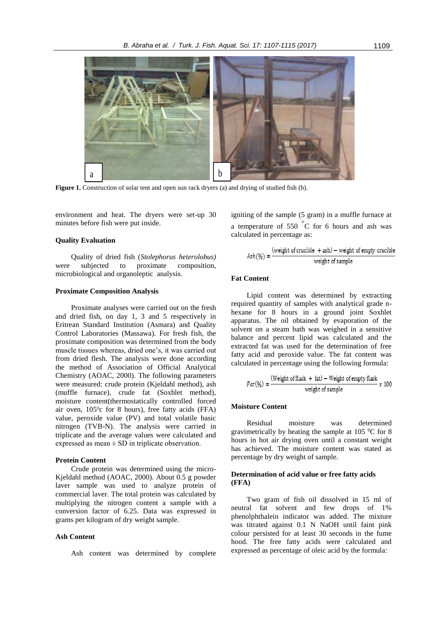

Figure 1. Construction of solar tent and open sun rack dryers (a) and drying of studied fish (b).

environment and heat. The dryers were set-up 30 minutes before fish were put inside.

#### **Quality Evaluation**

Quality of dried fish (*Stolephorus heterolobus)* were subjected to proximate composition, microbiological and organoleptic analysis.

## **Proximate Composition Analysis**

Proximate analyses were carried out on the fresh and dried fish, on day 1, 3 and 5 respectively in Eritrean Standard Institution (Asmara) and Quality Control Laboratories (Massawa). For fresh fish, the proximate composition was determined from the body muscle tissues whereas, dried one's, it was carried out from dried flesh. The analysis were done according the method of Association of Official Analytical Chemistry (AOAC, 2000). The following parameters were measured: crude protein (Kjeldahl method), ash (muffle furnace), crude fat (Soxhlet method), moisture content(thermostatically controlled forced air oven, 105°c for 8 hours), free fatty acids (FFA) value, peroxide value (PV) and total volatile basic nitrogen (TVB-N). The analysis were carried in triplicate and the average values were calculated and expressed as mean  $\pm$  SD in triplicate observation.

## **Protein Content**

Crude protein was determined using the micro-Kjeldahl method (AOAC, 2000). About 0.5 g powder laver sample was used to analyze protein of commercial laver. The total protein was calculated by multiplying the nitrogen content a sample with a conversion factor of 6.25. Data was expressed in grams per kilogram of dry weight sample.

#### **Ash Content**

Ash content was determined by complete

igniting of the sample (5 gram) in a muffle furnace at a temperature of  $550^\circ$ C for 6 hours and ash was calculated in percentage as:

$$
Ash(\%) = \frac{\text{(weight of crucible + ash)} - weight of empty crucible}{weight of sample}
$$

## **Fat Content**

Lipid content was determined by extracting required quantity of samples with analytical grade nhexane for 8 hours in a ground joint Soxhlet apparatus. The oil obtained by evaporation of the solvent on a steam bath was weighed in a sensitive balance and percent lipid was calculated and the extracted fat was used for the determination of free fatty acid and peroxide value. The fat content was calculated in percentage using the following formula:

$$
Fat(\%) = \frac{\text{(Weight of flask + fat)} - Weight of empty flask}}{\text{weight of sample}} \times 100
$$

## **Moisture Content**

Residual moisture was determined gravimetrically by heating the sample at 105 $\mathrm{^{0}C}$  for 8 hours in hot air drying oven until a constant weight has achieved. The moisture content was stated as percentage by dry weight of sample.

## **Determination of acid value or free fatty acids (FFA)**

Two gram of fish oil dissolved in 15 ml of neutral fat solvent and few drops of 1% phenolphthalein indicator was added. The mixture was titrated against 0.1 N NaOH until faint pink colour persisted for at least 30 seconds in the fume hood. The free fatty acids were calculated and expressed as percentage of oleic acid by the formula: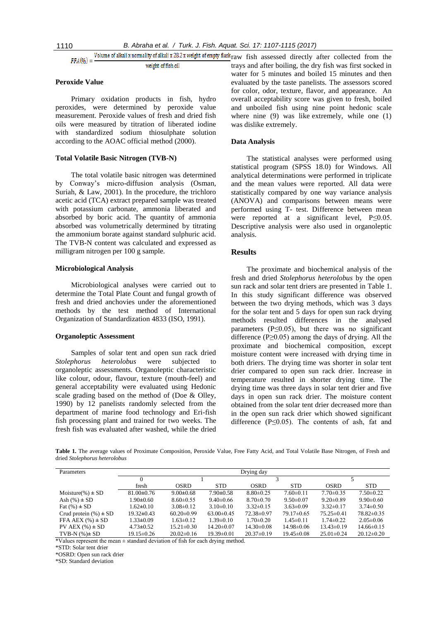Volume of alkali x normality of alkali x 28.2 x weight of empty flask raw fish assessed directly after collected from the  $FFA(\%) =$ 

weight of fish oil

## **Peroxide Value**

Primary oxidation products in fish, hydro peroxides, were determined by peroxide value measurement. Peroxide values of fresh and dried fish oils were measured by titration of liberated iodine with standardized sodium thiosulphate solution according to the AOAC official method (2000).

## **Total Volatile Basic Nitrogen (TVB-N)**

The total volatile basic nitrogen was determined by Conway's micro-diffusion analysis (Osman, Suriah, & Law, 2001). In the procedure, the trichloro acetic acid (TCA) extract prepared sample was treated with potassium carbonate, ammonia liberated and absorbed by boric acid. The quantity of ammonia absorbed was volumetrically determined by titrating the ammonium borate against standard sulphuric acid. The TVB-N content was calculated and expressed as milligram nitrogen per 100 g sample.

## **Microbiological Analysis**

Microbiological analyses were carried out to determine the Total Plate Count and fungal growth of fresh and dried anchovies under the aforementioned methods by the test method of International Organization of Standardization 4833 (ISO, 1991).

## **Organoleptic Assessment**

Samples of solar tent and open sun rack dried *Stolephorus heterolobus* were subjected to organoleptic assessments. Organoleptic characteristic like colour, odour, flavour, texture (mouth-feel) and general acceptability were evaluated using Hedonic scale grading based on the method of (Doe & Olley, 1990) by 12 panelists randomly selected from the department of marine food technology and Eri-fish fish processing plant and trained for two weeks. The fresh fish was evaluated after washed, while the dried trays and after boiling, the dry fish was first socked in water for 5 minutes and boiled 15 minutes and then evaluated by the taste panelists. The assessors scored for color, odor, texture, flavor, and appearance. An overall acceptability score was given to fresh, boiled and unboiled fish using nine point hedonic scale where nine (9) was like extremely, while one (1) was dislike extremely.

## **Data Analysis**

The statistical analyses were performed using statistical program (SPSS 18.0) for Windows. All analytical determinations were performed in triplicate and the mean values were reported. All data were statistically compared by one way variance analysis (ANOVA) and comparisons between means were performed using T- test. Difference between mean were reported at a significant level, P≤0.05. Descriptive analysis were also used in organoleptic analysis.

## **Results**

The proximate and biochemical analysis of the fresh and dried *Stolephorus heterolobus* by the open sun rack and solar tent driers are presented in Table 1. In this study significant difference was observed between the two drying methods, which was 3 days for the solar tent and 5 days for open sun rack drying methods resulted differences in the analysed parameters ( $P \le 0.05$ ), but there was no significant difference  $(P \ge 0.05)$  among the days of drying. All the proximate and biochemical composition, except moisture content were increased with drying time in both driers. The drying time was shorter in solar tent drier compared to open sun rack drier. Increase in temperature resulted in shorter drying time. The drying time was three days in solar tent drier and five days in open sun rack drier. The moisture content obtained from the solar tent drier decreased more than in the open sun rack drier which showed significant difference (P≤0.05). The contents of ash, fat and

**Table 1.** The average values of Proximate Composition, Peroxide Value, Free Fatty Acid, and Total Volatile Base Nitrogen, of Fresh and dried *Stolephorus heterolobus*

| Parameters                  | Drying day      |                  |                  |                 |                  |                  |                  |  |
|-----------------------------|-----------------|------------------|------------------|-----------------|------------------|------------------|------------------|--|
|                             |                 |                  |                  |                 |                  |                  |                  |  |
|                             | fresh           | <b>OSRD</b>      | <b>STD</b>       | <b>OSRD</b>     | <b>STD</b>       | <b>OSRD</b>      | <b>STD</b>       |  |
| Moisture(%) $\pm$ SD        | $81.00\pm0.76$  | $9.00 \pm 0.68$  | $7.90 \pm 0.58$  | $8.80\pm0.25$   | $7.60\pm0.11$    | $7.70 \pm 0.35$  | $7.50 \pm 0.22$  |  |
| Ash $(\%)\pm SD$            | $1.90 \pm 0.60$ | $8.60 \pm 0.55$  | $9.40 \pm 0.66$  | $8.70 \pm 0.70$ | $9.50 \pm 0.07$  | $9.20 \pm 0.89$  | $9.90 \pm 0.60$  |  |
| Fat $(\%)\pm SD$            | $1.62 \pm 0.10$ | $3.08 \pm 0.12$  | $3.10\pm0.10$    | $3.32\pm0.15$   | $3.63 \pm 0.09$  | $3.32\pm0.17$    | $3.74 \pm 0.50$  |  |
| Crud protein $(\% ) \pm SD$ | $19.32\pm0.43$  | $60.20 \pm 0.99$ | $63.00 \pm 0.45$ | 72.38±0.97      | $79.17\pm0.65$   | $75.25 \pm 0.41$ | $78.82 \pm 0.35$ |  |
| FFA AEX $(\% ) \pm SD$      | $1.33 \pm 0.09$ | $1.63 \pm 0.12$  | $1.39 \pm 0.10$  | $1.70 \pm 0.20$ | $1.45 \pm 0.11$  | $1.74 \pm 0.22$  | $2.05 \pm 0.06$  |  |
| $PV$ AEX $(\% ) \pm SD$     | $4.73 \pm 0.52$ | $15.21 \pm 0.30$ | $14.20 \pm 0.07$ | $14.30\pm0.08$  | 14.98±0.06       | $13.43 \pm 0.19$ | $14.66 \pm 0.15$ |  |
| $TVB-N$ $% \neq SD$         | $19.15\pm0.26$  | $20.02 \pm 0.16$ | $19.39\pm0.01$   | $20.37\pm0.19$  | $19.45 \pm 0.08$ | $25.01 \pm 0.24$ | $20.12 \pm 0.20$ |  |

\*Values represent the mean ± standard deviation of fish for each drying method.

\*STD: Solar tent drier

\*OSRD: Open sun rack drier

\*SD: Standard deviation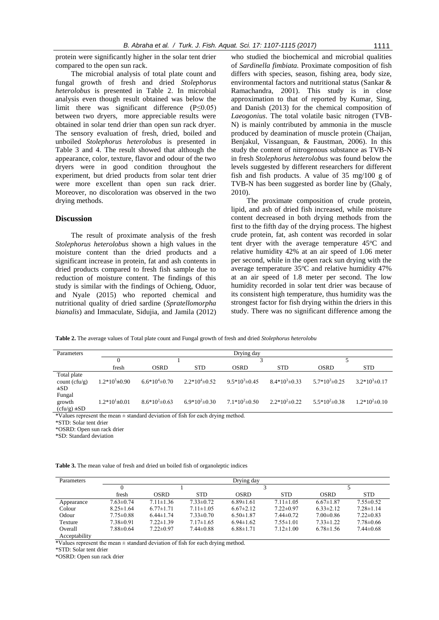protein were significantly higher in the solar tent drier compared to the open sun rack.

The microbial analysis of total plate count and fungal growth of fresh and dried *Stolephorus heterolobus* is presented in Table 2. In microbial analysis even though result obtained was below the limit there was significant difference (P≤0.05) between two dryers, more appreciable results were obtained in solar tend drier than open sun rack dryer. The sensory evaluation of fresh, dried, boiled and unboiled *Stolephorus heterolobus* is presented in Table 3 and 4. The result showed that although the appearance, color, texture, flavor and odour of the two dryers were in good condition throughout the experiment, but dried products from solar tent drier were more excellent than open sun rack drier. Moreover, no discoloration was observed in the two drying methods.

#### **Discussion**

The result of proximate analysis of the fresh *Stolephorus heterolobus* shown a high values in the moisture content than the dried products and a significant increase in protein, fat and ash contents in dried products compared to fresh fish sample due to reduction of moisture content. The findings of this study is similar with the findings of Ochieng, Oduor, and Nyale (2015) who reported chemical and nutritional quality of dried sardine (*Spratellomorpha bianalis*) and Immaculate, Sidujia, and Jamila (2012)

who studied the biochemical and microbial qualities of *Sardinella fimbiata.* Proximate composition of fish differs with species, season, fishing area, body size, environmental factors and nutritional status (Sankar & Ramachandra, 2001). This study is in close approximation to that of reported by Kumar, Sing, and Danish (2013) for the chemical composition of *Laeogonius*. The total volatile basic nitrogen (TVB-N) is mainly contributed by ammonia in the muscle produced by deamination of muscle protein (Chaijan, Benjakul, Vissanguan, & Faustman, 2006). In this study the content of nitrogenous substance as TVB-N in fresh *Stolephorus heterolobus* was found below the levels suggested by different researchers for different fish and fish products. A value of 35 mg/100 g of TVB-N has been suggested as border line by (Ghaly, 2010).

The proximate composition of crude protein, lipid, and ash of dried fish increased, while moisture content decreased in both drying methods from the first to the fifth day of the drying process. The highest crude protein, fat, ash content was recorded in solar tent dryer with the average temperature  $45^{\circ}$ C and relative humidity 42% at an air speed of 1.06 meter per second, while in the open rack sun drying with the average temperature  $35^{\circ}$ C and relative humidity 47% at an air speed of 1.8 meter per second. The low humidity recorded in solar tent drier was because of its consistent high temperature, thus humidity was the strongest factor for fish drying within the driers in this study. There was no significant difference among the

**Table 2.** The average values of Total plate count and Fungal growth of fresh and dried *Stolephorus heterolobu*

| Parameters                               |                       | Drying day            |                     |                     |                     |                     |                     |  |  |
|------------------------------------------|-----------------------|-----------------------|---------------------|---------------------|---------------------|---------------------|---------------------|--|--|
|                                          | 0                     |                       |                     |                     |                     |                     |                     |  |  |
|                                          | fresh                 | <b>OSRD</b>           | <b>STD</b>          | <b>OSRD</b>         | <b>STD</b>          | <b>OSRD</b>         | <b>STD</b>          |  |  |
| Total plate<br>count (cfu/g)<br>$\pm SD$ | $1.2*105\pm 0.90$     | $6.6*10^{4} \pm 0.70$ | $2.2*104\pm 0.52$   | $9.5*10^3 \pm 0.45$ | $8.4*10^3 \pm 0.33$ | $5.7*10^3 \pm 0.25$ | $3.2*10^3 \pm 0.17$ |  |  |
| Fungal<br>growth<br>$(cfu/g) \pm SD$     | $1.2*10^{1} \pm 0.01$ | $8.6*10^2 \pm 0.63$   | $6.9*10^2 \pm 0.30$ | $7.1*10^2 \pm 0.50$ | $2.2*10^2 \pm 0.22$ | $5.5*10^2 \pm 0.38$ | $1.2*10^2 \pm 0.10$ |  |  |

\*Values represent the mean  $\pm$  standard deviation of fish for each drying method.

\*STD: Solar tent drier

\*OSRD: Open sun rack drier

\*SD: Standard deviation

| Table 3. The mean value of fresh and dried un boiled fish of organoleptic indices |  |
|-----------------------------------------------------------------------------------|--|
|-----------------------------------------------------------------------------------|--|

| Parameters    | Drying day      |                 |                 |                 |                 |                 |                 |  |
|---------------|-----------------|-----------------|-----------------|-----------------|-----------------|-----------------|-----------------|--|
|               |                 |                 |                 |                 |                 |                 |                 |  |
|               | fresh           | OSRD            | <b>STD</b>      | <b>OSRD</b>     | <b>STD</b>      | <b>OSRD</b>     | <b>STD</b>      |  |
| Appearance    | $7.63 \pm 0.74$ | $7.11 \pm 1.36$ | $7.33 \pm 0.72$ | $6.89{\pm}1.61$ | $7.11 \pm 1.05$ | $6.67 \pm 1.87$ | $7.55 \pm 0.52$ |  |
| Colour        | $8.25 \pm 1.64$ | $6.77 \pm 1.71$ | $7.11 \pm 1.05$ | $6.67 \pm 2.12$ | $7.22 \pm 0.97$ | $6.33 \pm 2.12$ | $7.28 \pm 1.14$ |  |
| Odour         | $7.75 \pm 0.88$ | $6.44 \pm 1.74$ | $7.33 \pm 0.70$ | $6.50 \pm 1.87$ | $7.44\pm0.72$   | $7.00 \pm 0.86$ | $7.22 \pm 0.83$ |  |
| Texture       | $7.38 \pm 0.91$ | $7.22 \pm 1.39$ | $7.17 \pm 1.65$ | $6.94 \pm 1.62$ | $7.55 \pm 1.01$ | $7.33 \pm 1.22$ | $7.78 \pm 0.66$ |  |
| Overall       | $7.88 \pm 0.64$ | $7.22 \pm 0.97$ | $7.44 \pm 0.88$ | $6.88\pm1.71$   | $7.12 \pm 1.00$ | $6.78 \pm 1.56$ | $7.44 \pm 0.68$ |  |
| Acceptability |                 |                 |                 |                 |                 |                 |                 |  |

\*Values represent the mean ± standard deviation of fish for each drying method.

\*STD: Solar tent drier

\*OSRD: Open sun rack drier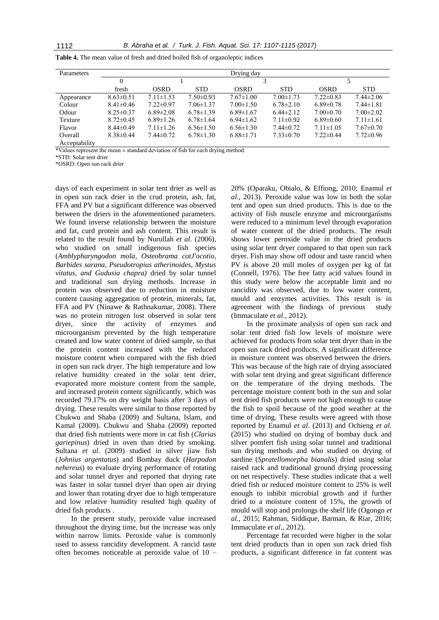| Parameters    | Drying day      |                 |                 |                 |                 |                 |                 |  |  |
|---------------|-----------------|-----------------|-----------------|-----------------|-----------------|-----------------|-----------------|--|--|
|               | $\Omega$        |                 |                 |                 |                 |                 |                 |  |  |
|               | fresh           | <b>OSRD</b>     | <b>STD</b>      | <b>OSRD</b>     | <b>STD</b>      | <b>OSRD</b>     | <b>STD</b>      |  |  |
| Appearance    | $8.63 \pm 0.51$ | $7.11 \pm 1.53$ | $7.50 \pm 0.93$ | $7.67 \pm 1.00$ | $7.00 \pm 1.73$ | $7.22 \pm 0.83$ | $7.44 \pm 2.06$ |  |  |
| Colour        | $8.41 \pm 0.46$ | $7.22 \pm 0.97$ | $7.06 \pm 1.37$ | $7.00 \pm 1.50$ | $6.78\pm2.10$   | $6.89 \pm 0.78$ | $7.44 \pm 1.81$ |  |  |
| Odour         | $8.25 \pm 0.37$ | $6.89 \pm 2.08$ | $6.78 \pm 1.39$ | $6.89 \pm 1.67$ | $6.44\pm2.12$   | $7.00 \pm 0.70$ | $7.00 \pm 2.02$ |  |  |
| Texture       | $8.72 \pm 0.45$ | $6.89 \pm 1.26$ | $6.78 \pm 1.64$ | $6.94 \pm 1.62$ | $7.11 \pm 0.92$ | $6.89 \pm 0.60$ | $7.11 \pm 1.61$ |  |  |
| Flavor        | $8.44 \pm 0.49$ | $7.11 \pm 1.26$ | $6.56 \pm 1.50$ | $6.56 \pm 1.30$ | $7.44\pm0.72$   | $7.11 \pm 1.05$ | $7.67 \pm 0.70$ |  |  |
| Overall       | $8.38 \pm 0.44$ | $7.44\pm0.72$   | $6.78 \pm 1.30$ | $6.88 \pm 1.71$ | $7.33 \pm 0.70$ | $7.22 \pm 0.44$ | $7.72 \pm 0.96$ |  |  |
| Acceptability |                 |                 |                 |                 |                 |                 |                 |  |  |

**Table 4.** The mean value of fresh and dried boiled fish of organoleptic indices

\*Values represent the mean  $\pm$  standard deviation of fish for each drying method.

\*STD: Solar tent drier

\*OSRD: Open sun rack drier

days of each experiment in solar tent drier as well as in open sun rack drier in the crud protein, ash, fat, FFA and PV but a significant difference was observed between the driers in the aforementioned parameters. We found inverse relationship between the moisture and fat, curd protein and ash content. This result is related to the result found by Nurullah *et al*. (2006), who studied on small indigenous fish species (*Amblypharyngodon mola*, *Osteobrama cotJ'ocotio, Barbides sarana, Pseudotropius atherinoides, Mystus vitatus, and Gudusia chapra)* dried by solar tunnel and traditional sun drying methods. Increase in protein was observed due to reduction in moisture content causing aggregation of protein, minerals, fat, FFA and PV (Ninawe & Rathnakumar, 2008). There was no protein nitrogen lost observed in solar tent dryer, since the activity of enzymes and microorganism prevented by the high temperature created and low water content of dried sample, so that the protein content increased with the reduced moisture content when compared with the fish dried in open sun rack dryer. The high temperature and low relative humidity created in the solar tent drier, evaporated more moisture content from the sample, and increased protein content significantly, which was recorded 79.17% on dry weight basis after 3 days of drying. These results were similar to those reported by Chukwu and Shaba (2009) and Sultana, Islam, and Kamal (2009). Chukwu and Shaba (2009) reported that dried fish nutrients were more in cat fish (*Clarias gariepinus*) dried in oven than dried by smoking. Sultana *et al*. (2009) studied in silver jiaw fish (*Johnius argentatus*) and Bombay duck (*Harpodon nehereus*) to evaluate drying performance of rotating and solar tunnel dryer and reported that drying rate was faster in solar tunnel dryer than open air drying and lower than rotating dryer due to high temperature and low relative humidity resulted high quality of dried fish products .

In the present study, peroxide value increased throughout the drying time, but the increase was only within narrow limits. Peroxide value is commonly used to assess rancidity development. A rancid taste often becomes noticeable at peroxide value of 10 –

20% (Oparaku, Obialo, & Effiong, 2010; Enamul *et al*., 2013). Peroxide value was low in both the solar tent and open sun dried products. This is due to the activity of fish muscle enzyme and microorganisms were reduced to a minimum level through evaporation of water content of the dried products. The result shows lower peroxide value in the dried products using solar tent dryer compared to that open sun rack dryer. Fish may show off odour and taste rancid when PV is above 20 mill moles of oxygen per kg of fat (Connell, 1976). The free fatty acid values found in this study were below the acceptable limit and no rancidity was observed, due to low water content, mould and enzymes activities. This result is in agreement with the findings of previous study (Immaculate *et al*., 2012).

In the proximate analysis of open sun rack and solar tent dried fish low levels of moisture were achieved for products from solar tent dryer than in the open sun rack dried products. A significant difference in moisture content was observed between the driers. This was because of the high rate of drying associated with solar tent drying and great significant difference on the temperature of the drying methods. The percentage moisture content both in the sun and solar tent dried fish products were not high enough to cause the fish to spoil because of the good weather at the time of drying. These results were agreed with those reported by Enamul *et al*. (2013) and Ochieng *et al*. (2015) who studied on drying of bombay duck and silver pomfert fish using solar tunnel and traditional sun drying methods and who studied on drying of sardine (*Spratellomorpha bianalis*) dried using solar raised rack and traditional ground drying processing on net respectively. These studies indicate that a well dried fish or reduced moisture content to 25% is well enough to inhibit microbial growth and if further dried to a moisture content of 15%, the growth of mould will stop and prolongs the shelf life (Ogongo *et al*., 2015; Rahman, Siddique, Barman, & Riar, 2016; Immaculate *et al*., 2012).

Percentage fat recorded were higher in the solar tent dried products than in open sun rack dried fish products, a significant difference in fat content was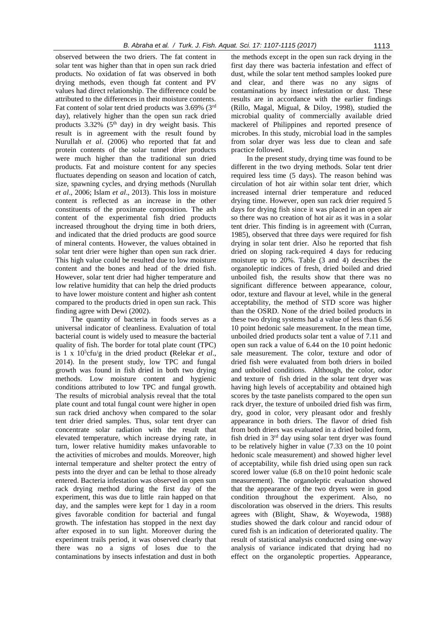observed between the two driers. The fat content in solar tent was higher than that in open sun rack dried products. No oxidation of fat was observed in both drying methods, even though fat content and PV values had direct relationship. The difference could be attributed to the differences in their moisture contents. Fat content of solar tent dried products was 3.69% (3rd day), relatively higher than the open sun rack dried products  $3.32\%$  (5<sup>th</sup> day) in dry weight basis. This result is in agreement with the result found by Nurullah *et al*. (2006) who reported that fat and protein contents of the solar tunnel drier products were much higher than the traditional sun dried products. Fat and moisture content for any species fluctuates depending on season and location of catch, size, spawning cycles, and drying methods (Nurullah *et al*., 2006; Islam *et al*., 2013). This loss in moisture content is reflected as an increase in the other constituents of the proximate composition. The ash content of the experimental fish dried products increased throughout the drying time in both driers, and indicated that the dried products are good source of mineral contents. However, the values obtained in solar tent drier were higher than open sun rack drier. This high value could be resulted due to low moisture content and the bones and head of the dried fish. However, solar tent drier had higher temperature and low relative humidity that can help the dried products to have lower moisture content and higher ash content compared to the products dried in open sun rack. This finding agree with Dewi (2002).

The quantity of bacteria in foods serves as a universal indicator of cleanliness. Evaluation of total bacterial count is widely used to measure the bacterial quality of fish. The border for total plate count (TPC) is  $1 \times 10^5$ cfu/g in the dried product (Relekar *et al.*, 2014). In the present study, low TPC and fungal growth was found in fish dried in both two drying methods. Low moisture content and hygienic conditions attributed to low TPC and fungal growth. The results of microbial analysis reveal that the total plate count and total fungal count were higher in open sun rack dried anchovy when compared to the solar tent drier dried samples. Thus, solar tent dryer can concentrate solar radiation with the result that elevated temperature, which increase drying rate, in turn, lower relative humidity makes unfavorable to the activities of microbes and moulds. Moreover, high internal temperature and shelter protect the entry of pests into the dryer and can be lethal to those already entered. Bacteria infestation was observed in open sun rack drying method during the first day of the experiment, this was due to little rain happed on that day, and the samples were kept for 1 day in a room gives favorable condition for bacterial and fungal growth. The infestation has stopped in the next day after exposed in to sun light. Moreover during the experiment trails period, it was observed clearly that there was no a signs of loses due to the contaminations by insects infestation and dust in both

the methods except in the open sun rack drying in the first day there was bacteria infestation and effect of dust, while the solar tent method samples looked pure and clear, and there was no any signs of contaminations by insect infestation or dust. These results are in accordance with the earlier findings (Rillo, Magal, Migual, & Diloy, 1998), studied the microbial quality of commercially available dried mackerel of Philippines and reported presence of microbes. In this study, microbial load in the samples from solar dryer was less due to clean and safe practice followed.

In the present study, drying time was found to be different in the two drying methods. Solar tent drier required less time (5 days). The reason behind was circulation of hot air within solar tent drier, which increased internal drier temperature and reduced drying time. However, open sun rack drier required 5 days for drying fish since it was placed in an open air so there was no creation of hot air as it was in a solar tent drier. This finding is in agreement with (Curran, 1985), observed that three days were required for fish drying in solar tent drier. Also he reported that fish dried on sloping rack-required 4 days for reducing moisture up to 20%. Table (3 and 4) describes the organoleptic indices of fresh, dried boiled and dried unboiled fish, the results show that there was no significant difference between appearance, colour, odor, texture and flavour at level, while in the general acceptability, the method of STD score was higher than the OSRD. None of the dried boiled products in these two drying systems had a value of less than 6.56 10 point hedonic sale measurement. In the mean time, unboiled dried products solar tent a value of 7.11 and open sun rack a value of 6.44 on the 10 point hedonic sale measurement. The color, texture and odor of dried fish were evaluated from both driers in boiled and unboiled conditions. Although, the color, odor and texture of fish dried in the solar tent dryer was having high levels of acceptability and obtained high scores by the taste panelists compared to the open sun rack dryer, the texture of unboiled dried fish was firm, dry, good in color, very pleasant odor and freshly appearance in both driers. The flavor of dried fish from both driers was evaluated in a dried boiled form, fish dried in 3rd day using solar tent dryer was found to be relatively higher in value (7.33 on the 10 point hedonic scale measurement) and showed higher level of acceptability, while fish dried using open sun rack scored lower value (6.8 on the10 point hedonic scale measurement). The organoleptic evaluation showed that the appearance of the two dryers were in good condition throughout the experiment. Also, no discoloration was observed in the driers. This results agrees with (Blight, Shaw, & Woyewoda, 1988) studies showed the dark colour and rancid odour of cured fish is an indication of deteriorated quality. The result of statistical analysis conducted using one-way analysis of variance indicated that drying had no effect on the organoleptic properties. Appearance,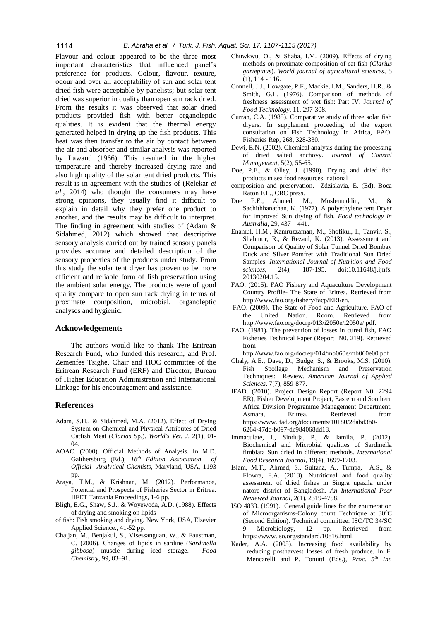Flavour and colour appeared to be the three most important characteristics that influenced panel's preference for products. Colour, flavour, texture, odour and over all acceptability of sun and solar tent dried fish were acceptable by panelists; but solar tent dried was superior in quality than open sun rack dried. From the results it was observed that solar dried products provided fish with better organoleptic qualities. It is evident that the thermal energy generated helped in drying up the fish products. This heat was then transfer to the air by contact between the air and absorber and similar analysis was reported by Lawand (1966). This resulted in the higher temperature and thereby increased drying rate and also high quality of the solar tent dried products. This result is in agreement with the studies of (Relekar *et al*., 2014) who thought the consumers may have strong opinions, they usually find it difficult to explain in detail why they prefer one product to another, and the results may be difficult to interpret. The finding in agreement with studies of (Adam & Sidahmed, 2012) which showed that descriptive sensory analysis carried out by trained sensory panels provides accurate and detailed description of the sensory properties of the products under study. From this study the solar tent dryer has proven to be more efficient and reliable form of fish preservation using the ambient solar energy. The products were of good quality compare to open sun rack drying in terms of proximate composition, microbial, organoleptic analyses and hygienic.

#### **Acknowledgements**

The authors would like to thank The Eritrean Research Fund, who funded this research, and Prof. Zemenfes Tsighe, Chair and HOC committee of the Eritrean Research Fund (ERF) and Director, Bureau of Higher Education Administration and International Linkage for his encouragement and assistance.

## **References**

- Adam, S.H., & Sidahmed, M.A. (2012). Effect of Drying System on Chemical and Physical Attributes of Dried Catfish Meat (*Clarias* Sp.). *World's Vet. J*. 2(1), 01- 04.
- AOAC. (2000). Official Methods of Analysis. In M.D. Gaithersburg (Ed.), *18th Edition Association of Official Analytical Chemists*, Maryland, USA, 1193 pp.
- Araya, T.M., & Krishnan, M. (2012). Performance, Potential and Prospects of Fisheries Sector in Eritrea. IIFET Tanzania Proceedings, 1-6 pp.
- Bligh, E.G., Shaw, S.J., & Woyewoda, A.D. (1988). Effects of drying and smoking on lipids
- of fish: Fish smoking and drying. New York, USA, Elsevier Applied Science., 41-52 pp.
- Chaijan, M., Benjakul, S., Visessanguan, W., & Faustman, C. (2006). Changes of lipids in sardine (*Sardinella gibbosa*) muscle during iced storage. *Food Chemistry*, 99, 83–91.
- Chuwkwu, O., & Shaba, I.M. (2009). Effects of drying methods on proximate composition of cat fish (*Clarius gariepinus*). *World journal of agricultural sciences*, 5 (1), 114 - 116.
- Connell, J.J., Howgate, P.F., Mackie, I.M., Sanders, H.R., & Smith, G.L. (1976). Comparison of methods of freshness assessment of wet fish: Part IV. J*ournal of Food Technology*, 11, 297-308.
- Curran, C.A. (1985). Comparative study of three solar fish dryers. In supplement proceeding of the export consultation on Fish Technology in Africa, FAO. Fisheries Rep, 268, 328-330.
- Dewi, E.N. (2002). Chemical analysis during the processing of dried salted anchovy. *Journal of Coastal Management*, 5(2), 55-65.
- Doe, P.E., & Olley, J. (1990). Drying and dried fish products in sea food resources, national
- composition and preservation. Zdzislavia, E. (Ed), Boca Raton F.L., CRC press.
- Doe P.E., Ahmed, M., Muslemuddin, M., & Sachithhanathan, K. (1977). A polyethylene tent Dryer for improved Sun drying of fish. *Food technology in Australia*, 29, 437 – 441.
- Enamul, H.M., Kamruzzaman, M., Shofikul, I., Tanvir, S., Shahinur, R., & Rezaul, K. (2013). Assessment and Comparison of Quality of Solar Tunnel Dried Bombay Duck and Silver Pomfret with Traditional Sun Dried Samples. *International Journal of Nutrition and Food sciences*, 2(4), 187-195. doi:10.11648/j.ijnfs. 20130204.15.
- FAO. (2015). FAO Fishery and Aquaculture Development Country Profile- The State of Eritrea. Retrieved from http://www.fao.org/fishery/facp/ERI/en.
- FAO. (2009). The State of Food and Agriculture. FAO of the United Nation. Room. Retrieved from http://www.fao.org/docrp/013/i2050e/i2050e/.pdf.
- FAO. (1981). The prevention of losses in cured fish, FAO Fisheries Technical Paper (Report N0. 219). Retrieved from

http://www.fao.org/docrep/014/mb060e/mb060e00.pdf

- Ghaly, A.E., Dave, D., Budge, S., & Brooks, M.S. (2010). Fish Spoilage Mechanism and Preservation Techniques: Review. *American Journal of Applied Sciences*, 7(7), 859-877.
- IFAD. (2010). Project Design Report (Report N0. 2294 ER), Fisher Development Project, Eastern and Southern Africa Division Programme Management Department. Asmara, Eritrea. Retrieved from https://www.ifad.org/documents/10180/2dabd3b0- 6264-47dd-b097-dc984068dd18.
- Immaculate, J., Sinduja, P., & Jamila, P. (2012). Biochemical and Microbial qualities of Sardinella fimbiata Sun dried in different methods. *International Food Research Journal*, 19(4), 1699-1703.
- Islam, M.T., Ahmed, S., Sultana, A., Tumpa, A.S., & Flowra, F.A. (2013). Nutritional and food quality assessment of dried fishes in Singra upazila under natore district of Bangladesh. *An International Peer Reviewed Journal*, 2(1), 2319-4758.
- ISO 4833. (1991). General guide lines for the enumeration of Microorganisms-Colony count Technique at 30°C (Second Edition). Technical committee: ISO/TC 34/SC 9 Microbiology, 12 pp. Retrieved from https://www.iso.org/standard/10816.html.
- Kader, A.A. (2005). Increasing food availability by reducing postharvest losses of fresh produce. In F. Mencarelli and P. Tonutti (Eds.), *Proc. 5th Int.*